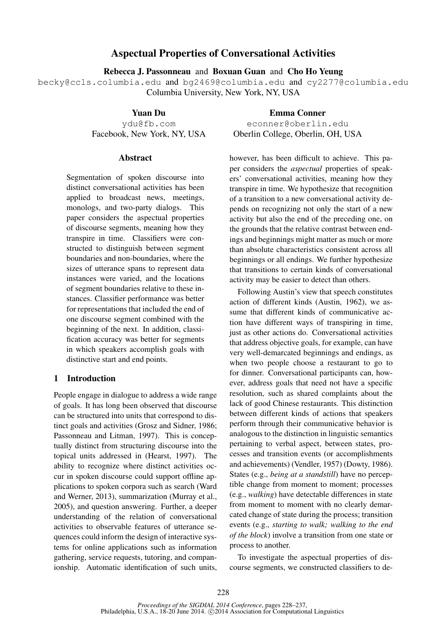# Aspectual Properties of Conversational Activities

Rebecca J. Passonneau and Boxuan Guan and Cho Ho Yeung

becky@ccls.columbia.edu and bg2469@columbia.edu and cy2277@columbia.edu Columbia University, New York, NY, USA

Yuan Du

ydu@fb.com Facebook, New York, NY, USA

#### **Abstract**

Segmentation of spoken discourse into distinct conversational activities has been applied to broadcast news, meetings, monologs, and two-party dialogs. This paper considers the aspectual properties of discourse segments, meaning how they transpire in time. Classifiers were constructed to distinguish between segment boundaries and non-boundaries, where the sizes of utterance spans to represent data instances were varied, and the locations of segment boundaries relative to these instances. Classifier performance was better for representations that included the end of one discourse segment combined with the beginning of the next. In addition, classification accuracy was better for segments in which speakers accomplish goals with distinctive start and end points.

### 1 Introduction

People engage in dialogue to address a wide range of goals. It has long been observed that discourse can be structured into units that correspond to distinct goals and activities (Grosz and Sidner, 1986; Passonneau and Litman, 1997). This is conceptually distinct from structuring discourse into the topical units addressed in (Hearst, 1997). The ability to recognize where distinct activities occur in spoken discourse could support offline applications to spoken corpora such as search (Ward and Werner, 2013), summarization (Murray et al., 2005), and question answering. Further, a deeper understanding of the relation of conversational activities to observable features of utterance sequences could inform the design of interactive systems for online applications such as information gathering, service requests, tutoring, and companionship. Automatic identification of such units,

Emma Conner econner@oberlin.edu Oberlin College, Oberlin, OH, USA

however, has been difficult to achieve. This paper considers the *aspectual* properties of speakers' conversational activities, meaning how they transpire in time. We hypothesize that recognition of a transition to a new conversational activity depends on recognizing not only the start of a new activity but also the end of the preceding one, on the grounds that the relative contrast between endings and beginnings might matter as much or more than absolute characteristics consistent across all beginnings or all endings. We further hypothesize that transitions to certain kinds of conversational activity may be easier to detect than others.

Following Austin's view that speech constitutes action of different kinds (Austin, 1962), we assume that different kinds of communicative action have different ways of transpiring in time, just as other actions do. Conversational activities that address objective goals, for example, can have very well-demarcated beginnings and endings, as when two people choose a restaurant to go to for dinner. Conversational participants can, however, address goals that need not have a specific resolution, such as shared complaints about the lack of good Chinese restaurants. This distinction between different kinds of actions that speakers perform through their communicative behavior is analogous to the distinction in linguistic semantics pertaining to verbal aspect, between states, processes and transition events (or accomplishments and achievements) (Vendler, 1957) (Dowty, 1986). States (e.g., *being at a standstill*) have no perceptible change from moment to moment; processes (e.g., *walking*) have detectable differences in state from moment to moment with no clearly demarcated change of state during the process; transition events (e.g., *starting to walk; walking to the end of the block*) involve a transition from one state or process to another.

To investigate the aspectual properties of discourse segments, we constructed classifiers to de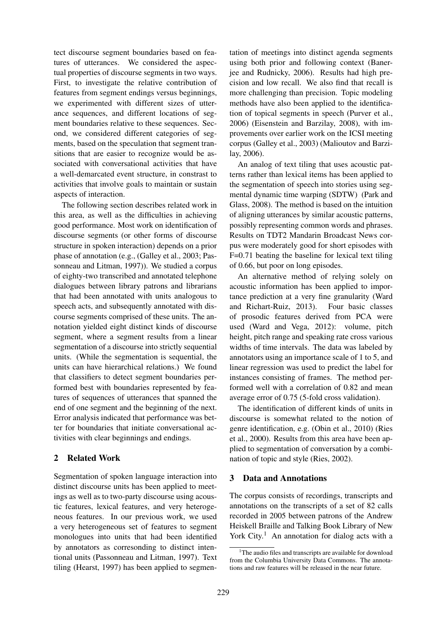tect discourse segment boundaries based on features of utterances. We considered the aspectual properties of discourse segments in two ways. First, to investigate the relative contribution of features from segment endings versus beginnings, we experimented with different sizes of utterance sequences, and different locations of segment boundaries relative to these sequences. Second, we considered different categories of segments, based on the speculation that segment transitions that are easier to recognize would be associated with conversational activities that have a well-demarcated event structure, in constrast to activities that involve goals to maintain or sustain aspects of interaction.

The following section describes related work in this area, as well as the difficulties in achieving good performance. Most work on identification of discourse segments (or other forms of discourse structure in spoken interaction) depends on a prior phase of annotation (e.g., (Galley et al., 2003; Passonneau and Litman, 1997)). We studied a corpus of eighty-two transcribed and annotated telephone dialogues between library patrons and librarians that had been annotated with units analogous to speech acts, and subsequently annotated with discourse segments comprised of these units. The annotation yielded eight distinct kinds of discourse segment, where a segment results from a linear segmentation of a discourse into strictly sequential units. (While the segmentation is sequential, the units can have hierarchical relations.) We found that classifiers to detect segment boundaries performed best with boundaries represented by features of sequences of utterances that spanned the end of one segment and the beginning of the next. Error analysis indicated that performance was better for boundaries that initiate conversational activities with clear beginnings and endings.

### 2 Related Work

Segmentation of spoken language interaction into distinct discourse units has been applied to meetings as well as to two-party discourse using acoustic features, lexical features, and very heterogeneous features. In our previous work, we used a very heterogeneous set of features to segment monologues into units that had been identified by annotators as corresonding to distinct intentional units (Passonneau and Litman, 1997). Text tiling (Hearst, 1997) has been applied to segmentation of meetings into distinct agenda segments using both prior and following context (Banerjee and Rudnicky, 2006). Results had high precision and low recall. We also find that recall is more challenging than precision. Topic modeling methods have also been applied to the identification of topical segments in speech (Purver et al., 2006) (Eisenstein and Barzilay, 2008), with improvements over earlier work on the ICSI meeting corpus (Galley et al., 2003) (Malioutov and Barzilay, 2006).

An analog of text tiling that uses acoustic patterns rather than lexical items has been applied to the segmentation of speech into stories using segmental dynamic time warping (SDTW) (Park and Glass, 2008). The method is based on the intuition of aligning utterances by similar acoustic patterns, possibly representing common words and phrases. Results on TDT2 Mandarin Broadcast News corpus were moderately good for short episodes with F=0.71 beating the baseline for lexical text tiling of 0.66, but poor on long episodes.

An alternative method of relying solely on acoustic information has been applied to importance prediction at a very fine granularity (Ward and Richart-Ruiz, 2013). Four basic classes of prosodic features derived from PCA were used (Ward and Vega, 2012): volume, pitch height, pitch range and speaking rate cross various widths of time intervals. The data was labeled by annotators using an importance scale of 1 to 5, and linear regression was used to predict the label for instances consisting of frames. The method performed well with a correlation of 0.82 and mean average error of 0.75 (5-fold cross validation).

The identification of different kinds of units in discourse is somewhat related to the notion of genre identification, e.g. (Obin et al., 2010) (Ries et al., 2000). Results from this area have been applied to segmentation of conversation by a combination of topic and style (Ries, 2002).

### 3 Data and Annotations

The corpus consists of recordings, transcripts and annotations on the transcripts of a set of 82 calls recorded in 2005 between patrons of the Andrew Heiskell Braille and Talking Book Library of New York City.<sup>1</sup> An annotation for dialog acts with a

 $1$ <sup>1</sup>The audio files and transcripts are available for download from the Columbia University Data Commons. The annotations and raw features will be released in the near future.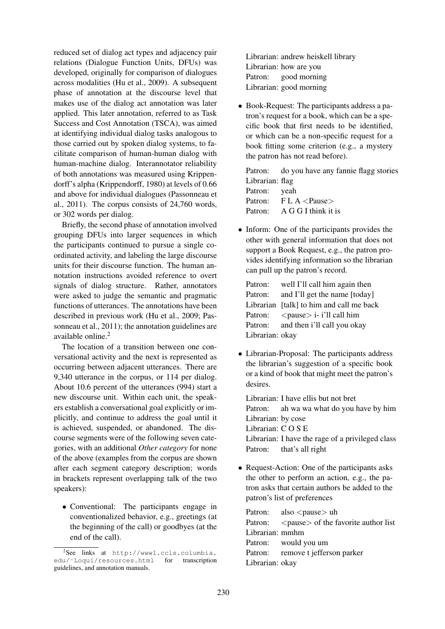reduced set of dialog act types and adjacency pair relations (Dialogue Function Units, DFUs) was developed, originally for comparison of dialogues across modalities (Hu et al., 2009). A subsequent phase of annotation at the discourse level that makes use of the dialog act annotation was later applied. This later annotation, referred to as Task Success and Cost Annotation (TSCA), was aimed at identifying individual dialog tasks analogous to those carried out by spoken dialog systems, to facilitate comparison of human-human dialog with human-machine dialog. Interannotator reliability of both annotations was measured using Krippendorff's alpha (Krippendorff, 1980) at levels of 0.66 and above for individual dialogues (Passonneau et al., 2011). The corpus consists of 24,760 words, or 302 words per dialog.

Briefly, the second phase of annotation involved grouping DFUs into larger sequences in which the participants continued to pursue a single coordinated activity, and labeling the large discourse units for their discourse function. The human annotation instructions avoided reference to overt signals of dialog structure. Rather, annotators were asked to judge the semantic and pragmatic functions of utterances. The annotations have been described in previous work (Hu et al., 2009; Passonneau et al., 2011); the annotation guidelines are available online.<sup>2</sup>

The location of a transition between one conversational activity and the next is represented as occurring between adjacent utterances. There are 9,340 utterance in the corpus, or 114 per dialog. About 10.6 percent of the utterances (994) start a new discourse unit. Within each unit, the speakers establish a conversational goal explicitly or implicitly, and continue to address the goal until it is achieved, suspended, or abandoned. The discourse segments were of the following seven categories, with an additional *Other category* for none of the above (examples from the corpus are shown after each segment category description; words in brackets represent overlapping talk of the two speakers):

• Conventional: The participants engage in conventionalized behavior, e.g., greetings (at the beginning of the call) or goodbyes (at the end of the call).

Librarian: andrew heiskell library Librarian: how are you Patron: good morning Librarian: good morning

• Book-Request: The participants address a patron's request for a book, which can be a specific book that first needs to be identified, or which can be a non-specific request for a book fitting some criterion (e.g., a mystery the patron has not read before).

Patron: do you have any fannie flagg stories Librarian: flag Patron: yeah Patron: F L A <Pause> Patron: A G G I think it is

• Inform: One of the participants provides the other with general information that does not support a Book Request, e.g., the patron provides identifying information so the librarian can pull up the patron's record.

Patron: well I'll call him again then Patron: and I'll get the name [today] Librarian [talk] to him and call me back Patron:  $\langle$  pause $>$  i- i'll call him Patron: and then i'll call you okay Librarian: okay

• Librarian-Proposal: The participants address the librarian's suggestion of a specific book or a kind of book that might meet the patron's desires.

Librarian: I have ellis but not bret Patron: ah wa wa what do you have by him Librarian: by cose Librarian: C O S E Librarian: I have the rage of a privileged class Patron: that's all right

• Request-Action: One of the participants asks the other to perform an action, e.g., the patron asks that certain authors be added to the patron's list of preferences

Patron: also  $\langle$  pause $\rangle$  uh Patron: <pause> of the favorite author list Librarian: mmhm Patron: would you um Patron: remove t jefferson parker Librarian: okay

<sup>2</sup> See links at http://www1.ccls.columbia. edu/˜Loqui/resources.html for transcription guidelines, and annotation manuals.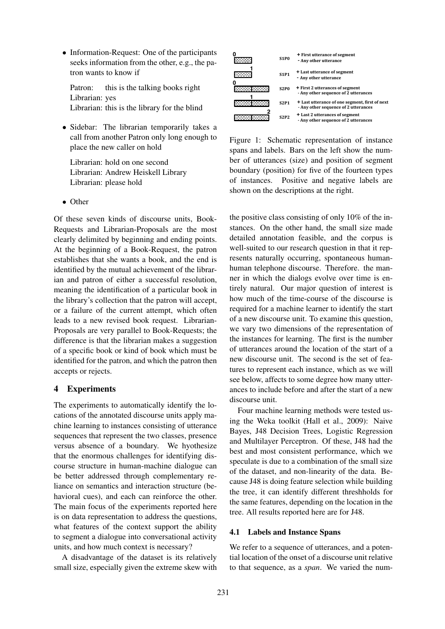• Information-Request: One of the participants seeks information from the other, e.g., the patron wants to know if

Patron: this is the talking books right Librarian: yes Librarian: this is the library for the blind

• Sidebar: The librarian temporarily takes a call from another Patron only long enough to place the new caller on hold

Librarian: hold on one second Librarian: Andrew Heiskell Library Librarian: please hold

• Other

Of these seven kinds of discourse units, Book-Requests and Librarian-Proposals are the most clearly delimited by beginning and ending points. At the beginning of a Book-Request, the patron establishes that she wants a book, and the end is identified by the mutual achievement of the librarian and patron of either a successful resolution, meaning the identification of a particular book in the library's collection that the patron will accept, or a failure of the current attempt, which often leads to a new revised book request. Librarian-Proposals are very parallel to Book-Requests; the difference is that the librarian makes a suggestion of a specific book or kind of book which must be identified for the patron, and which the patron then accepts or rejects.

### 4 Experiments

The experiments to automatically identify the locations of the annotated discourse units apply machine learning to instances consisting of utterance sequences that represent the two classes, presence versus absence of a boundary. We hyothesize that the enormous challenges for identifying discourse structure in human-machine dialogue can be better addressed through complementary reliance on semantics and interaction structure (behavioral cues), and each can reinforce the other. The main focus of the experiments reported here is on data representation to address the questions, what features of the context support the ability to segment a dialogue into conversational activity units, and how much context is necessary?

A disadvantage of the dataset is its relatively small size, especially given the extreme skew with



Figure 1: Schematic representation of instance spans and labels. Bars on the left show the number of utterances (size) and position of segment boundary (position) for five of the fourteen types of instances. Positive and negative labels are shown on the descriptions at the right.

the positive class consisting of only 10% of the instances. On the other hand, the small size made detailed annotation feasible, and the corpus is well-suited to our research question in that it represents naturally occurring, spontaneous humanhuman telephone discourse. Therefore. the manner in which the dialogs evolve over time is entirely natural. Our major question of interest is how much of the time-course of the discourse is required for a machine learner to identify the start of a new discourse unit. To examine this question, we vary two dimensions of the representation of the instances for learning. The first is the number of utterances around the location of the start of a new discourse unit. The second is the set of features to represent each instance, which as we will see below, affects to some degree how many utterances to include before and after the start of a new discourse unit.

Four machine learning methods were tested using the Weka toolkit (Hall et al., 2009): Naive Bayes, J48 Decision Trees, Logistic Regression and Multilayer Perceptron. Of these, J48 had the best and most consistent performance, which we speculate is due to a combination of the small size of the dataset, and non-linearity of the data. Because J48 is doing feature selection while building the tree, it can identify different threshholds for the same features, depending on the location in the tree. All results reported here are for J48.

### 4.1 Labels and Instance Spans

We refer to a sequence of utterances, and a potential location of the onset of a discourse unit relative to that sequence, as a *span*. We varied the num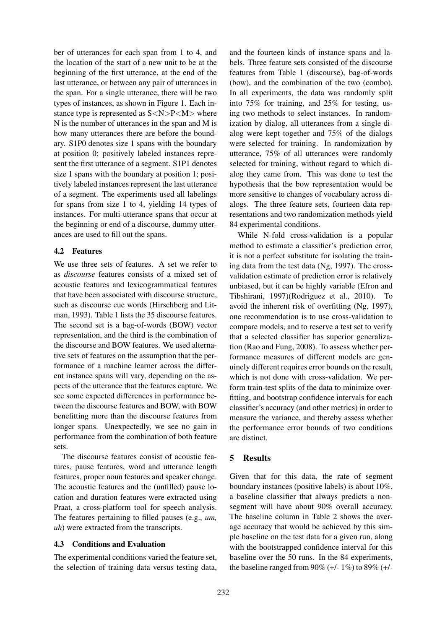ber of utterances for each span from 1 to 4, and the location of the start of a new unit to be at the beginning of the first utterance, at the end of the last utterance, or between any pair of utterances in the span. For a single utterance, there will be two types of instances, as shown in Figure 1. Each instance type is represented as  $S < N > P < M>$  where N is the number of utterances in the span and M is how many utterances there are before the boundary. S1P0 denotes size 1 spans with the boundary at position 0; positively labeled instances represent the first utterance of a segment. S1P1 denotes size 1 spans with the boundary at position 1; positively labeled instances represent the last utterance of a segment. The experiments used all labelings for spans from size 1 to 4, yielding 14 types of instances. For multi-utterance spans that occur at the beginning or end of a discourse, dummy utterances are used to fill out the spans.

### 4.2 Features

We use three sets of features. A set we refer to as *discourse* features consists of a mixed set of acoustic features and lexicogrammatical features that have been associated with discourse structure, such as discourse cue words (Hirschberg and Litman, 1993). Table 1 lists the 35 discourse features. The second set is a bag-of-words (BOW) vector representation, and the third is the combination of the discourse and BOW features. We used alternative sets of features on the assumption that the performance of a machine learner across the different instance spans will vary, depending on the aspects of the utterance that the features capture. We see some expected differences in performance between the discourse features and BOW, with BOW benefitting more than the discourse features from longer spans. Unexpectedly, we see no gain in performance from the combination of both feature sets.

The discourse features consist of acoustic features, pause features, word and utterance length features, proper noun features and speaker change. The acoustic features and the (unfilled) pause location and duration features were extracted using Praat, a cross-platform tool for speech analysis. The features pertaining to filled pauses (e.g., *um, uh*) were extracted from the transcripts.

### 4.3 Conditions and Evaluation

The experimental conditions varied the feature set, the selection of training data versus testing data,

and the fourteen kinds of instance spans and labels. Three feature sets consisted of the discourse features from Table 1 (discourse), bag-of-words (bow), and the combination of the two (combo). In all experiments, the data was randomly split into 75% for training, and 25% for testing, using two methods to select instances. In randomization by dialog, all utterances from a single dialog were kept together and 75% of the dialogs were selected for training. In randomization by utterance, 75% of all utterances were randomly selected for training, without regard to which dialog they came from. This was done to test the hypothesis that the bow representation would be more sensitive to changes of vocabulary across dialogs. The three feature sets, fourteen data representations and two randomization methods yield 84 experimental conditions.

While N-fold cross-validation is a popular method to estimate a classifier's prediction error, it is not a perfect substitute for isolating the training data from the test data (Ng, 1997). The crossvalidation estimate of prediction error is relatively unbiased, but it can be highly variable (Efron and Tibshirani, 1997)(Rodriguez et al., 2010). To avoid the inherent risk of overfitting (Ng, 1997), one recommendation is to use cross-validation to compare models, and to reserve a test set to verify that a selected classifier has superior generalization (Rao and Fung, 2008). To assess whether performance measures of different models are genuinely different requires error bounds on the result, which is not done with cross-validation. We perform train-test splits of the data to minimize overfitting, and bootstrap confidence intervals for each classifier's accuracy (and other metrics) in order to measure the variance, and thereby assess whether the performance error bounds of two conditions are distinct.

## 5 Results

Given that for this data, the rate of segment boundary instances (positive labels) is about 10%, a baseline classifier that always predicts a nonsegment will have about 90% overall accuracy. The baseline column in Table 2 shows the average accuracy that would be achieved by this simple baseline on the test data for a given run, along with the bootstrapped confidence interval for this baseline over the 50 runs. In the 84 experiments, the baseline ranged from  $90\%$  (+/-  $1\%$ ) to  $89\%$  (+/-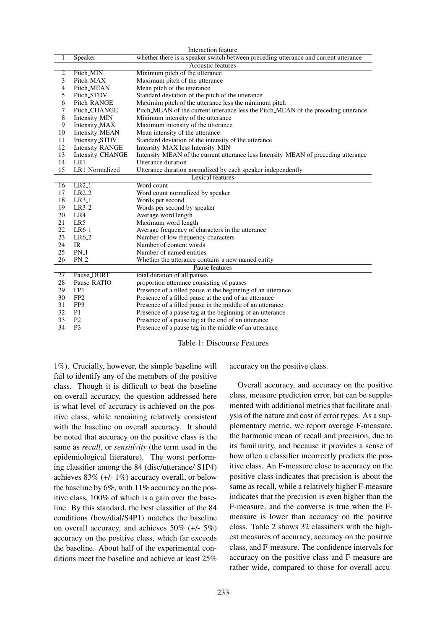|                 | Interaction feature      |                                                                                     |  |  |  |  |  |
|-----------------|--------------------------|-------------------------------------------------------------------------------------|--|--|--|--|--|
| 1               | Speaker                  | whether there is a speaker switch between preceding utterance and current utterance |  |  |  |  |  |
|                 | <b>Acoustic features</b> |                                                                                     |  |  |  |  |  |
| $\overline{2}$  | Pitch_MIN                | Minimum pitch of the utterance                                                      |  |  |  |  |  |
| 3               | Pitch_MAX                | Maximum pitch of the utterance                                                      |  |  |  |  |  |
| 4               | Pitch_MEAN               | Mean pitch of the utterance                                                         |  |  |  |  |  |
| 5               | Pitch_STDV               | Standard deviation of the pitch of the utterance                                    |  |  |  |  |  |
| 6               | Pitch_RANGE              | Maximim pitch of the utterance less the minimum pitch                               |  |  |  |  |  |
| 7               | Pitch_CHANGE             | Pitch_MEAN of the current utterance less the Pitch_MEAN of the preceding utterance  |  |  |  |  |  |
| 8               | Intensity_MIN            | Minimum intensity of the utterance                                                  |  |  |  |  |  |
| 9               | Intensity_MAX            | Maximum intensity of the utterance                                                  |  |  |  |  |  |
| 10              | Intensity_MEAN           | Mean intensity of the utterance                                                     |  |  |  |  |  |
| 11              | Intensity_STDV           | Standard deviation of the intensity of the utterance                                |  |  |  |  |  |
| 12              | Intensity_RANGE          | Intensity_MAX less Intensity_MIN                                                    |  |  |  |  |  |
| 13              | Intensity_CHANGE         | Intensity_MEAN of the current utterance less Intensity_MEAN of preceding utterance  |  |  |  |  |  |
| 14              | LR1                      | Utterance duration                                                                  |  |  |  |  |  |
| 15              | LR1_Normalized           | Utterance duration normalized by each speaker independently                         |  |  |  |  |  |
|                 |                          | <b>Lexical features</b>                                                             |  |  |  |  |  |
| 16              | $LR2_1$                  | Word count                                                                          |  |  |  |  |  |
| 17              | $LR2_2$                  | Word count normalized by speaker                                                    |  |  |  |  |  |
| 18              | $LR3_1$                  | Words per second                                                                    |  |  |  |  |  |
| 19              | $LR3-2$                  | Words per second by speaker                                                         |  |  |  |  |  |
| 20              | LR4                      | Average word length                                                                 |  |  |  |  |  |
| 21              | LR5                      | Maximum word length                                                                 |  |  |  |  |  |
| 22              | $LR6_1$                  | Average frequency of characters in the utterance                                    |  |  |  |  |  |
| 23              | LR6 <sub>-2</sub>        | Number of low frequency characters                                                  |  |  |  |  |  |
| 24              | IR                       | Number of content words                                                             |  |  |  |  |  |
| 25              | $PN_1$                   | Number of named entities                                                            |  |  |  |  |  |
| 26              | $PN_2$                   | Whether the utterance contains a new named entity                                   |  |  |  |  |  |
| Pause features  |                          |                                                                                     |  |  |  |  |  |
| $\overline{27}$ | Pause_DURT               | total duration of all pauses                                                        |  |  |  |  |  |
| 28              | Pause_RATIO              | proportion utterance consisting of pauses                                           |  |  |  |  |  |
| 29              | FP1                      | Presence of a filled pause at the beginning of an utterance                         |  |  |  |  |  |
| 30              | FP <sub>2</sub>          | Presence of a filled pause at the end of an utterance                               |  |  |  |  |  |
| 31              | FP3                      | Presence of a filled pause in the middle of an utterance                            |  |  |  |  |  |
| 32              | P <sub>1</sub>           | Presence of a pause tag at the beginning of an utterance                            |  |  |  |  |  |
| 33              | P <sub>2</sub>           | Presence of a pause tag at the end of an utterance                                  |  |  |  |  |  |
| 34              | P <sub>3</sub>           | Presence of a pause tag in the middle of an utterance                               |  |  |  |  |  |

#### Table 1: Discourse Features

1%). Crucially, however, the simple baseline will fail to identify any of the members of the positive class. Though it is difficult to beat the baseline on overall accuracy, the question addressed here is what level of accuracy is achieved on the positive class, while remaining relatively consistent with the baseline on overall accuracy. It should be noted that accuracy on the positive class is the same as *recall*, or *sensitivity* (the term used in the epidemiological literature). The worst performing classifier among the 84 (disc/utterance/ S1P4) achieves 83% (+/- 1%) accuracy overall, or below the baseline by  $6\%$ , with  $11\%$  accuracy on the positive class, 100% of which is a gain over the baseline. By this standard, the best classifier of the 84 conditions (bow/dial/S4P1) matches the baseline on overall accuracy, and achieves 50% (+/- 5%) accuracy on the positive class, which far exceeds the baseline. About half of the experimental conditions meet the baseline and achieve at least 25%

accuracy on the positive class.

Overall accuracy, and accuracy on the positive class, measure prediction error, but can be supplemented with additional metrics that facilitate analysis of the nature and cost of error types. As a supplementary metric, we report average F-measure, the harmonic mean of recall and precision, due to its familiarity, and because it provides a sense of how often a classifier incorrectly predicts the positive class. An F-measure close to accuracy on the positive class indicates that precision is about the same as recall, while a relatively higher F-measure indicates that the precision is even higher than the F-measure, and the converse is true when the Fmeasure is lower than accuracy on the positive class. Table 2 shows 32 classifiers with the highest measures of accuracy, accuracy on the positive class, and F-measure. The confidence intervals for accuracy on the positive class and F-measure are rather wide, compared to those for overall accu-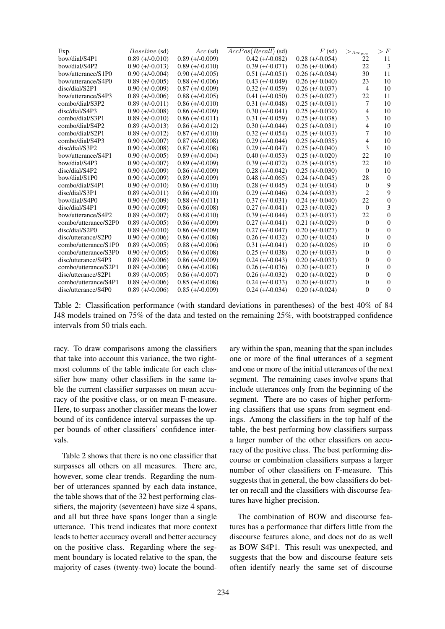| Exp.                 | <i>Baseline</i> (sd) | $Acc$ (sd)        | $AccPos(Recall)$ (sd) | $\overline{F}$ (sd) | $>$ Acc <sub>pos</sub> | > F             |
|----------------------|----------------------|-------------------|-----------------------|---------------------|------------------------|-----------------|
| bow/dial/S4P1        | $0.89 (+/-0.010)$    | $0.89 (+/-0.009)$ | $0.42 (+/-0.082)$     | $0.28 (+/-0.054)$   | 22                     | $\overline{11}$ |
| bow/dial/S4P2        | $0.90 (+/-0.013)$    | $0.89 (+/-0.010)$ | $0.39 (+/-0.071)$     | $0.26 (+/-0.064)$   | 22                     | 3               |
| bow/utterance/S1P0   | $0.90 (+/-0.004)$    | $0.90 (+/-0.005)$ | $0.51 (+/-0.051)$     | $0.26 (+/-0.034)$   | 30                     | 11              |
| bow/utterance/S4P0   | $0.89 (+/-0.005)$    | $0.88 (+/-0.006)$ | $0.43 (+/-0.049)$     | $0.26 (+/-0.040)$   | 23                     | 10              |
| disc/dial/S2P1       | $0.90 (+/-0.009)$    | $0.87 (+/-0.009)$ | $0.32 (+/-0.059)$     | $0.26 (+/-0.037)$   | 4                      | 10              |
| bow/utterance/S4P3   | $0.89 (+/-0.006)$    | $0.88 (+/-0.005)$ | $0.41 (+/-0.050)$     | $0.25 (+/-0.027)$   | 22                     | 11              |
| combo/dial/S3P2      | $0.89 (+/-0.011)$    | $0.86 (+/-0.010)$ | $0.31 (+/-0.048)$     | $0.25 (+/-0.031)$   | 7                      | 10              |
| disc/dial/S4P3       | $0.90 (+/-0.008)$    | $0.86 (+/-0.009)$ | $0.30 (+/-0.041)$     | $0.25 (+/-0.030)$   | 4                      | 10              |
| combo/dial/S3P1      | $0.89 (+/-0.010)$    | $0.86 (+/-0.011)$ | $0.31 (+/-0.059)$     | $0.25 (+/-0.038)$   | 3                      | 10              |
| combo/dial/S4P2      | $0.89 (+/-0.013)$    | $0.86 (+/-0.012)$ | $0.30 (+/-0.044)$     | $0.25 (+/-0.031)$   | 4                      | 10              |
| combo/dial/S2P1      | $0.89 (+/-0.012)$    | $0.87 (+/-0.010)$ | $0.32 (+/-0.054)$     | $0.25 (+/-0.033)$   | 7                      | 10              |
| combo/dial/S4P3      | $0.90 (+/-0.007)$    | $0.87 (+/-0.008)$ | $0.29 (+/-0.044)$     | $0.25 (+/-0.035)$   | 4                      | 10              |
| disc/dial/S3P2       | $0.90 (+/-0.008)$    | $0.87 (+/-0.008)$ | $0.29 (+/-0.047)$     | $0.25 (+/-0.040)$   | 3                      | 10              |
| bow/utterance/S4P1   | $0.90 (+/-0.005)$    | $0.89 (+/-0.004)$ | $0.40 (+/-0.053)$     | $0.25 (+/-0.020)$   | 22                     | 10              |
| bow/dial/S4P3        | $0.90 (+/-0.007)$    | $0.89 (+/-0.009)$ | $0.39 (+/-0.072)$     | $0.25 (+/-0.035)$   | 22                     | 10              |
| disc/dial/S4P2       | $0.90 (+/-0.009)$    | $0.86 (+/-0.009)$ | $0.28 (+/-0.042)$     | $0.25 (+/-0.030)$   | $\Omega$               | 10              |
| bow/dial/S1P0        | $0.90 (+/-0.009)$    | $0.89 (+/-0.009)$ | $0.48 (+/-0.065)$     | $0.24 (+/-0.045)$   | 28                     | $\theta$        |
| combo/dial/S4P1      | $0.90 (+/-0.010)$    | $0.86 (+/-0.010)$ | $0.28 (+/-0.045)$     | $0.24 (+/-0.034)$   | $\theta$               | 9               |
| disc/dial/S3P1       | $0.89 (+/-0.011)$    | $0.86 (+/-0.010)$ | $0.29 (+/-0.046)$     | $0.24 (+/-0.033)$   | 2                      | 9               |
| bow/dial/S4P0        | $0.90 (+/-0.009)$    | $0.88 (+/-0.011)$ | $0.37 (+/-0.031)$     | $0.24 (+/-0.040)$   | 22                     | $\overline{0}$  |
| disc/dial/S4P1       | $0.90 (+/-0.009)$    | $0.86 (+/-0.008)$ | $0.27 (+/-0.041)$     | $0.23 (+/-0.032)$   | $\theta$               | 3               |
| bow/utterance/S4P2   | $0.89 (+/-0.007)$    | $0.88 (+/-0.010)$ | $0.39 (+/-0.044)$     | $0.23 (+/-0.033)$   | 22                     | $\overline{0}$  |
| combo/utterance/S2P0 | $0.89 (+/-0.005)$    | $0.86 (+/-0.009)$ | $0.27 (+/-0.041)$     | $0.21 (+/-0.029)$   | $\Omega$               | $\Omega$        |
| disc/dial/S2P0       | $0.89 (+/-0.010)$    | $0.86 (+/-0.009)$ | $0.27 (+/-0.047)$     | $0.20 (+/-0.027)$   | $\Omega$               | $\Omega$        |
| disc/utterance/S2P0  | $0.90 (+/-0.006)$    | $0.86 (+/-0.008)$ | $0.26 (+/-0.032)$     | $0.20 (+/-0.024)$   | 0                      | $\Omega$        |
| combo/utterance/S1P0 | $0.89 (+/-0.005)$    | $0.88 (+/-0.006)$ | $0.31 (+/-0.041)$     | $0.20 (+/-0.026)$   | 10                     | $\overline{0}$  |
| combo/utterance/S3P0 | $0.90 (+/-0.005)$    | $0.86 (+/-0.008)$ | $0.25 (+/-0.038)$     | $0.20 (+/-0.033)$   | $\Omega$               | $\Omega$        |
| disc/utterance/S4P3  | $0.89 (+/-0.006)$    | $0.86 (+/-0.009)$ | $0.24 (+/-0.043)$     | $0.20 (+/-0.033)$   | 0                      | $\theta$        |
| combo/utterance/S2P1 | $0.89 (+/-0.006)$    | $0.86 (+/-0.008)$ | $0.26 (+/-0.036)$     | $0.20 (+/-0.023)$   | $\theta$               | $\overline{0}$  |
| disc/utterance/S2P1  | $0.89 (+/-0.005)$    | $0.86 (+/-0.007)$ | $0.26 (+/-0.032)$     | $0.20 (+/-0.022)$   | 0                      | $\Omega$        |
| combo/utterance/S4P1 | $0.89 (+/-0.006)$    | $0.85 (+/-0.008)$ | $0.24 (+/-0.033)$     | $0.20 (+/-0.027)$   | 0                      | $\overline{0}$  |
| disc/utterance/S4P0  | $0.89 (+/-0.006)$    | $0.85 (+/-0.009)$ | $0.24 (+/-0.034)$     | $0.20 (+/-0.024)$   | $\Omega$               | $\Omega$        |

Table 2: Classification performance (with standard deviations in parentheses) of the best 40% of 84 J48 models trained on 75% of the data and tested on the remaining 25%, with bootstrapped confidence intervals from 50 trials each.

racy. To draw comparisons among the classifiers that take into account this variance, the two rightmost columns of the table indicate for each classifier how many other classifiers in the same table the current classifier surpasses on mean accuracy of the positive class, or on mean F-measure. Here, to surpass another classifier means the lower bound of its confidence interval surpasses the upper bounds of other classifiers' confidence intervals.

Table 2 shows that there is no one classifier that surpasses all others on all measures. There are, however, some clear trends. Regarding the number of utterances spanned by each data instance, the table shows that of the 32 best performing classifiers, the majority (seventeen) have size 4 spans, and all but three have spans longer than a single utterance. This trend indicates that more context leads to better accuracy overall and better accuracy on the positive class. Regarding where the segment boundary is located relative to the span, the majority of cases (twenty-two) locate the bound-

ary within the span, meaning that the span includes one or more of the final utterances of a segment and one or more of the initial utterances of the next segment. The remaining cases involve spans that include utterances only from the beginning of the segment. There are no cases of higher performing classifiers that use spans from segment endings. Among the classifiers in the top half of the table, the best performing bow classifiers surpass a larger number of the other classifiers on accuracy of the positive class. The best performing discourse or combination classifiers surpass a larger number of other classifiers on F-measure. This suggests that in general, the bow classifiers do better on recall and the classifiers with discourse features have higher precision.

The combination of BOW and discourse features has a performance that differs little from the discourse features alone, and does not do as well as BOW S4P1. This result was unexpected, and suggests that the bow and discourse feature sets often identify nearly the same set of discourse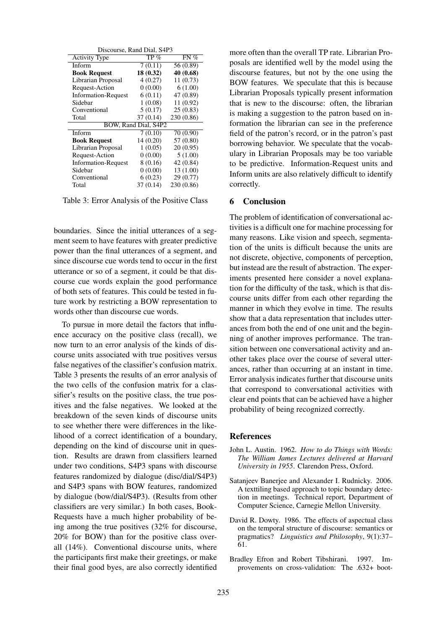| Discourse, Rand Dial, S4P3 |           |            |  |  |  |  |  |
|----------------------------|-----------|------------|--|--|--|--|--|
| <b>Activity Type</b>       | $TP \%$   | $FN \%$    |  |  |  |  |  |
| Inform                     | 7(0.11)   | 56 (0.89)  |  |  |  |  |  |
| <b>Book Request</b>        | 18(0.32)  | 40 (0.68)  |  |  |  |  |  |
| Librarian Proposal         | 4(0.27)   | 11(0.73)   |  |  |  |  |  |
| Request-Action             | 0(0.00)   | 6(1.00)    |  |  |  |  |  |
| <b>Information-Request</b> | 6(0.11)   | 47 (0.89)  |  |  |  |  |  |
| Sidebar                    | 1(0.08)   | 11(0.92)   |  |  |  |  |  |
| Conventional               | 5(0.17)   | 25(0.83)   |  |  |  |  |  |
| Total                      | 37(0.14)  | 230 (0.86) |  |  |  |  |  |
| BOW, Rand Dial, S4P2       |           |            |  |  |  |  |  |
| Inform                     | 7(0.10)   | 70 (0.90)  |  |  |  |  |  |
| <b>Book Request</b>        | 14 (0.20) | 57 (0.80)  |  |  |  |  |  |
| Librarian Proposal         | 1(0.05)   | 20(0.95)   |  |  |  |  |  |
| Request-Action             | 0(0.00)   | 5(1.00)    |  |  |  |  |  |
| <b>Information-Request</b> | 8 (0.16)  | 42 (0.84)  |  |  |  |  |  |
| Sidebar                    | 0(0.00)   | 13 (1.00)  |  |  |  |  |  |
| Conventional               | 6(0.23)   | 29 (0.77)  |  |  |  |  |  |
| Total                      | 37(0.14)  | 230 (0.86) |  |  |  |  |  |

Table 3: Error Analysis of the Positive Class

boundaries. Since the initial utterances of a segment seem to have features with greater predictive power than the final utterances of a segment, and since discourse cue words tend to occur in the first utterance or so of a segment, it could be that discourse cue words explain the good performance of both sets of features. This could be tested in future work by restricting a BOW representation to words other than discourse cue words.

To pursue in more detail the factors that influence accuracy on the positive class (recall), we now turn to an error analysis of the kinds of discourse units associated with true positives versus false negatives of the classifier's confusion matrix. Table 3 presents the results of an error analysis of the two cells of the confusion matrix for a classifier's results on the positive class, the true positives and the false negatives. We looked at the breakdown of the seven kinds of discourse units to see whether there were differences in the likelihood of a correct identification of a boundary, depending on the kind of discourse unit in question. Results are drawn from classifiers learned under two conditions, S4P3 spans with discourse features randomized by dialogue (disc/dial/S4P3) and S4P3 spans with BOW features, randomized by dialogue (bow/dial/S4P3). (Results from other classifiers are very similar.) In both cases, Book-Requests have a much higher probability of being among the true positives (32% for discourse, 20% for BOW) than for the positive class overall (14%). Conventional discourse units, where the participants first make their greetings, or make their final good byes, are also correctly identified

more often than the overall TP rate. Librarian Proposals are identified well by the model using the discourse features, but not by the one using the BOW features. We speculate that this is because Librarian Proposals typically present information that is new to the discourse: often, the librarian is making a suggestion to the patron based on information the librarian can see in the preference field of the patron's record, or in the patron's past borrowing behavior. We speculate that the vocabulary in Librarian Proposals may be too variable to be predictive. Information-Request units and Inform units are also relatively difficult to identify correctly.

#### 6 Conclusion

The problem of identification of conversational activities is a difficult one for machine processing for many reasons. Like vision and speech, segmentation of the units is difficult because the units are not discrete, objective, components of perception, but instead are the result of abstraction. The experiments presented here consider a novel explanation for the difficulty of the task, which is that discourse units differ from each other regarding the manner in which they evolve in time. The results show that a data representation that includes utterances from both the end of one unit and the beginning of another improves performance. The transition between one conversational activity and another takes place over the course of several utterances, rather than occurring at an instant in time. Error analysis indicates further that discourse units that correspond to conversational activities with clear end points that can be achieved have a higher probability of being recognized correctly.

#### References

- John L. Austin. 1962. *How to do Things with Words: The William James Lectures delivered at Harvard University in 1955*. Clarendon Press, Oxford.
- Satanjeev Banerjee and Alexander I. Rudnicky. 2006. A texttiling based approach to topic boundary detection in meetings. Technical report, Department of Computer Science, Carnegie Mellon University.
- David R. Dowty. 1986. The effects of aspectual class on the temporal structure of discourse: semantics or pragmatics? *Linguistics and Philosophy*, 9(1):37– 61.
- Bradley Efron and Robert Tibshirani. 1997. Improvements on cross-validation: The .632+ boot-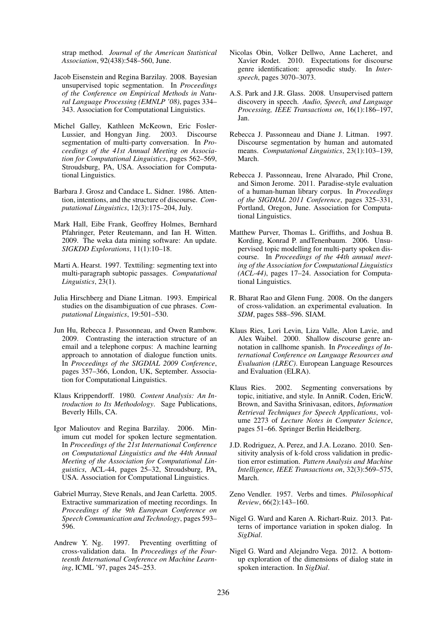strap method. *Journal of the American Statistical Association*, 92(438):548–560, June.

- Jacob Eisenstein and Regina Barzilay. 2008. Bayesian unsupervised topic segmentation. In *Proceedings of the Conference on Empirical Methods in Natural Language Processing (EMNLP '08)*, pages 334– 343. Association for Computational Linguistics.
- Michel Galley, Kathleen McKeown, Eric Fosler-<br>Lussier, and Hongyan Jing. 2003. Discourse Lussier, and Hongyan Jing. 2003. Discourse segmentation of multi-party conversation. In *Proceedings of the 41st Annual Meeting on Association for Computational Linguistics*, pages 562–569, Stroudsburg, PA, USA. Association for Computational Linguistics.
- Barbara J. Grosz and Candace L. Sidner. 1986. Attention, intentions, and the structure of discourse. *Computational Linguistics*, 12(3):175–204, July.
- Mark Hall, Eibe Frank, Geoffrey Holmes, Bernhard Pfahringer, Peter Reutemann, and Ian H. Witten. 2009. The weka data mining software: An update. *SIGKDD Explorations*, 11(1):10–18.
- Marti A. Hearst. 1997. Texttiling: segmenting text into multi-paragraph subtopic passages. *Computational Linguistics*, 23(1).
- Julia Hirschberg and Diane Litman. 1993. Empirical studies on the disambiguation of cue phrases. *Computational Linguistics*, 19:501–530.
- Jun Hu, Rebecca J. Passonneau, and Owen Rambow. 2009. Contrasting the interaction structure of an email and a telephone corpus: A machine learning approach to annotation of dialogue function units. In *Proceedings of the SIGDIAL 2009 Conference*, pages 357–366, London, UK, September. Association for Computational Linguistics.
- Klaus Krippendorff. 1980. *Content Analysis: An Introduction to Its Methodology*. Sage Publications, Beverly Hills, CA.
- Igor Malioutov and Regina Barzilay. 2006. Minimum cut model for spoken lecture segmentation. In *Proceedings of the 21st International Conference on Computational Linguistics and the 44th Annual Meeting of the Association for Computational Linguistics*, ACL-44, pages 25–32, Stroudsburg, PA, USA. Association for Computational Linguistics.
- Gabriel Murray, Steve Renals, and Jean Carletta. 2005. Extractive summarization of meeting recordings. In *Proceedings of the 9th European Conference on Speech Communication and Technology*, pages 593– 596.
- Andrew Y. Ng. 1997. Preventing overfitting of cross-validation data. In *Proceedings of the Fourteenth International Conference on Machine Learning*, ICML '97, pages 245–253.
- Nicolas Obin, Volker Dellwo, Anne Lacheret, and Xavier Rodet. 2010. Expectations for discourse genre identification: aprosodic study. In *Interspeech*, pages 3070–3073.
- A.S. Park and J.R. Glass. 2008. Unsupervised pattern discovery in speech. *Audio, Speech, and Language Processing, IEEE Transactions on*, 16(1):186–197, Jan.
- Rebecca J. Passonneau and Diane J. Litman. 1997. Discourse segmentation by human and automated means. *Computational Linguistics*, 23(1):103–139, March.
- Rebecca J. Passonneau, Irene Alvarado, Phil Crone, and Simon Jerome. 2011. Paradise-style evaluation of a human-human library corpus. In *Proceedings of the SIGDIAL 2011 Conference*, pages 325–331, Portland, Oregon, June. Association for Computational Linguistics.
- Matthew Purver, Thomas L. Griffiths, and Joshua B. Kording, Konrad P. andTenenbaum. 2006. Unsupervised topic modelling for multi-party spoken discourse. In *Proceedings of the 44th annual meeting of the Association for Computational Linguistics (ACL-44)*, pages 17–24. Association for Computational Linguistics.
- R. Bharat Rao and Glenn Fung. 2008. On the dangers of cross-validation. an experimental evaluation. In *SDM*, pages 588–596. SIAM.
- Klaus Ries, Lori Levin, Liza Valle, Alon Lavie, and Alex Waibel. 2000. Shallow discourse genre annotation in callhome spanish. In *Proceedings of International Conference on Language Resources and Evaluation (LREC)*. European Language Resources and Evaluation (ELRA).
- Klaus Ries. 2002. Segmenting conversations by topic, initiative, and style. In AnniR. Coden, EricW. Brown, and Savitha Srinivasan, editors, *Information Retrieval Techniques for Speech Applications*, volume 2273 of *Lecture Notes in Computer Science*, pages 51–66. Springer Berlin Heidelberg.
- J.D. Rodriguez, A. Perez, and J.A. Lozano. 2010. Sensitivity analysis of k-fold cross validation in prediction error estimation. *Pattern Analysis and Machine Intelligence, IEEE Transactions on*, 32(3):569–575, March.
- Zeno Vendler. 1957. Verbs and times. *Philosophical Review*, 66(2):143–160.
- Nigel G. Ward and Karen A. Richart-Ruiz. 2013. Patterns of importance variation in spoken dialog. In *SigDial*.
- Nigel G. Ward and Alejandro Vega. 2012. A bottomup exploration of the dimensions of dialog state in spoken interaction. In *SigDial*.